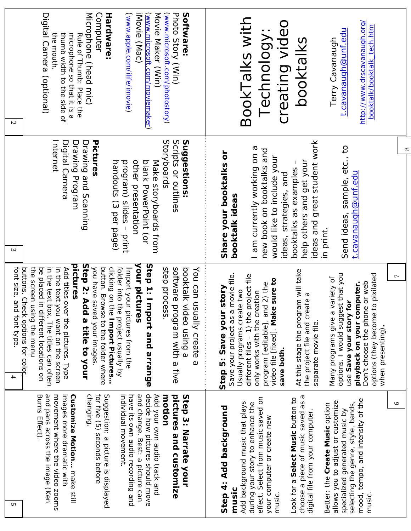| Microphone (head mic)<br>Movie Maker (Win)<br>Photo Story (Win)<br>Digital Camera (optional)<br>Hardware:<br>iMovie (Mac)<br>Software:<br>Computer<br>(www.microsoft.com/moviemaker)<br>(www.microsoft.com/photostory)<br>(www.apple.com/ilife/imovie)<br>thumb width to the side of<br>microphone so that it is a<br>the mouth.<br>Rule of Thurb: Place the<br>$\overline{c}$<br>Pictures<br>Suggestions:<br>Storyboards<br>Internet<br>Scripts or outlines<br>Digital Camera<br>Drawing Program<br>Drawing and Scanning | BookTalks with<br>creating video<br>http://www.drscavanaugh.org/<br>booktalk/booktalk_tech.htm<br>t.cavanaugh@unf.edu<br>Technology:<br>booktalks<br><b>Terry Cavanaugh</b><br>$\infty$                                                                                                                                |
|---------------------------------------------------------------------------------------------------------------------------------------------------------------------------------------------------------------------------------------------------------------------------------------------------------------------------------------------------------------------------------------------------------------------------------------------------------------------------------------------------------------------------|------------------------------------------------------------------------------------------------------------------------------------------------------------------------------------------------------------------------------------------------------------------------------------------------------------------------|
| other presentation<br>blank PowerPoint (or<br>handouts (3 per page)<br>program) slides-<br>Make storyboards from<br>print<br>$\epsilon$                                                                                                                                                                                                                                                                                                                                                                                   | ideas and great student work<br>Send ideas, sample, etc., to<br>I am currently working on a<br>new book on booktalks and<br>Share your booktalks or<br>would like to include your<br>help others and get your<br>booktalks as examples<br>t.cavanaugh@unf.edu<br>ideas, strategies, and<br>booktalk ideas<br>in print. |
| Step 2: Add a title to your                                                                                                                                                                                                                                                                                                                                                                                                                                                                                               | At this stage the program will take                                                                                                                                                                                                                                                                                    |
| your pictures                                                                                                                                                                                                                                                                                                                                                                                                                                                                                                             | options. I would suggest that you                                                                                                                                                                                                                                                                                      |
| Step 1: Import and arrange                                                                                                                                                                                                                                                                                                                                                                                                                                                                                                | options (they become to pixilated                                                                                                                                                                                                                                                                                      |
| pictures                                                                                                                                                                                                                                                                                                                                                                                                                                                                                                                  | movie file.                                                                                                                                                                                                                                                                                                            |
| clicking on the Import Pictures                                                                                                                                                                                                                                                                                                                                                                                                                                                                                           | different files - 1) the project file                                                                                                                                                                                                                                                                                  |
| in the text box. The titles can often                                                                                                                                                                                                                                                                                                                                                                                                                                                                                     | $\overline{ }$                                                                                                                                                                                                                                                                                                         |
| in the text you want on the screen                                                                                                                                                                                                                                                                                                                                                                                                                                                                                        | variety of                                                                                                                                                                                                                                                                                                             |
| you have saved your images.                                                                                                                                                                                                                                                                                                                                                                                                                                                                                               | video file [fixed]. Make sure to                                                                                                                                                                                                                                                                                       |
| folder into the project usually by                                                                                                                                                                                                                                                                                                                                                                                                                                                                                        | Don't choose the phone or web                                                                                                                                                                                                                                                                                          |
| font size, and font type.                                                                                                                                                                                                                                                                                                                                                                                                                                                                                                 | playback on your computer.                                                                                                                                                                                                                                                                                             |
| the screen using the menu                                                                                                                                                                                                                                                                                                                                                                                                                                                                                                 | program [editable], and 2) the                                                                                                                                                                                                                                                                                         |
| be placed in                                                                                                                                                                                                                                                                                                                                                                                                                                                                                                              | story                                                                                                                                                                                                                                                                                                                  |
| Add titles over the pictures. Type                                                                                                                                                                                                                                                                                                                                                                                                                                                                                        | Usually programs create two                                                                                                                                                                                                                                                                                            |
| button. Browse to the folder where                                                                                                                                                                                                                                                                                                                                                                                                                                                                                        | only works with the creation                                                                                                                                                                                                                                                                                           |
| Import your                                                                                                                                                                                                                                                                                                                                                                                                                                                                                                               | G                                                                                                                                                                                                                                                                                                                      |
| step process.                                                                                                                                                                                                                                                                                                                                                                                                                                                                                                             | the project file and create                                                                                                                                                                                                                                                                                            |
| software program with a five                                                                                                                                                                                                                                                                                                                                                                                                                                                                                              | use Save your story for                                                                                                                                                                                                                                                                                                |
| buttons. Check options for colop                                                                                                                                                                                                                                                                                                                                                                                                                                                                                          | Save your project as a                                                                                                                                                                                                                                                                                                 |
| booktalk video using a                                                                                                                                                                                                                                                                                                                                                                                                                                                                                                    | Many programs give a                                                                                                                                                                                                                                                                                                   |
| You can usually create                                                                                                                                                                                                                                                                                                                                                                                                                                                                                                    | Step 5: Save your                                                                                                                                                                                                                                                                                                      |
| different locations on                                                                                                                                                                                                                                                                                                                                                                                                                                                                                                    | separate movie file.                                                                                                                                                                                                                                                                                                   |
| pictures from the                                                                                                                                                                                                                                                                                                                                                                                                                                                                                                         | when presenting).                                                                                                                                                                                                                                                                                                      |
| $\omega$                                                                                                                                                                                                                                                                                                                                                                                                                                                                                                                  | save both.                                                                                                                                                                                                                                                                                                             |
| decide how pictures should move                                                                                                                                                                                                                                                                                                                                                                                                                                                                                           | choose a piece of music saved as a                                                                                                                                                                                                                                                                                     |
| and pans across the image (Ken                                                                                                                                                                                                                                                                                                                                                                                                                                                                                            | effect. Select from music saved on                                                                                                                                                                                                                                                                                     |
| movement where the video zooms                                                                                                                                                                                                                                                                                                                                                                                                                                                                                            | Look for a Select Music button to                                                                                                                                                                                                                                                                                      |
| images more dramatic with                                                                                                                                                                                                                                                                                                                                                                                                                                                                                                 | mood, tempo, and intensity of the                                                                                                                                                                                                                                                                                      |
| changing.                                                                                                                                                                                                                                                                                                                                                                                                                                                                                                                 | allows you to adjust or customize                                                                                                                                                                                                                                                                                      |
| for five (5) seconds before                                                                                                                                                                                                                                                                                                                                                                                                                                                                                               | Add background music that plays                                                                                                                                                                                                                                                                                        |
| individual movement.                                                                                                                                                                                                                                                                                                                                                                                                                                                                                                      | selecting the genre, style, bands,                                                                                                                                                                                                                                                                                     |
| have its own audio recording and                                                                                                                                                                                                                                                                                                                                                                                                                                                                                          | during your story to enhance the                                                                                                                                                                                                                                                                                       |
| and change. Best: a picture can                                                                                                                                                                                                                                                                                                                                                                                                                                                                                           | $\circ$                                                                                                                                                                                                                                                                                                                |
| pictures and customize                                                                                                                                                                                                                                                                                                                                                                                                                                                                                                    | Better: the Create Music option                                                                                                                                                                                                                                                                                        |
| Burns Effect).                                                                                                                                                                                                                                                                                                                                                                                                                                                                                                            | Step 4: Add background                                                                                                                                                                                                                                                                                                 |
| <b>Customize Motion</b> make still                                                                                                                                                                                                                                                                                                                                                                                                                                                                                        | specialized generated music by                                                                                                                                                                                                                                                                                         |
| Suggestion: a picture is displayed                                                                                                                                                                                                                                                                                                                                                                                                                                                                                        | digital file from your computer                                                                                                                                                                                                                                                                                        |
| Add your own audio track and                                                                                                                                                                                                                                                                                                                                                                                                                                                                                              | your computer or create new                                                                                                                                                                                                                                                                                            |
| motion                                                                                                                                                                                                                                                                                                                                                                                                                                                                                                                    | music                                                                                                                                                                                                                                                                                                                  |
| Step 3: Narrate your                                                                                                                                                                                                                                                                                                                                                                                                                                                                                                      | music                                                                                                                                                                                                                                                                                                                  |
| U                                                                                                                                                                                                                                                                                                                                                                                                                                                                                                                         | music                                                                                                                                                                                                                                                                                                                  |